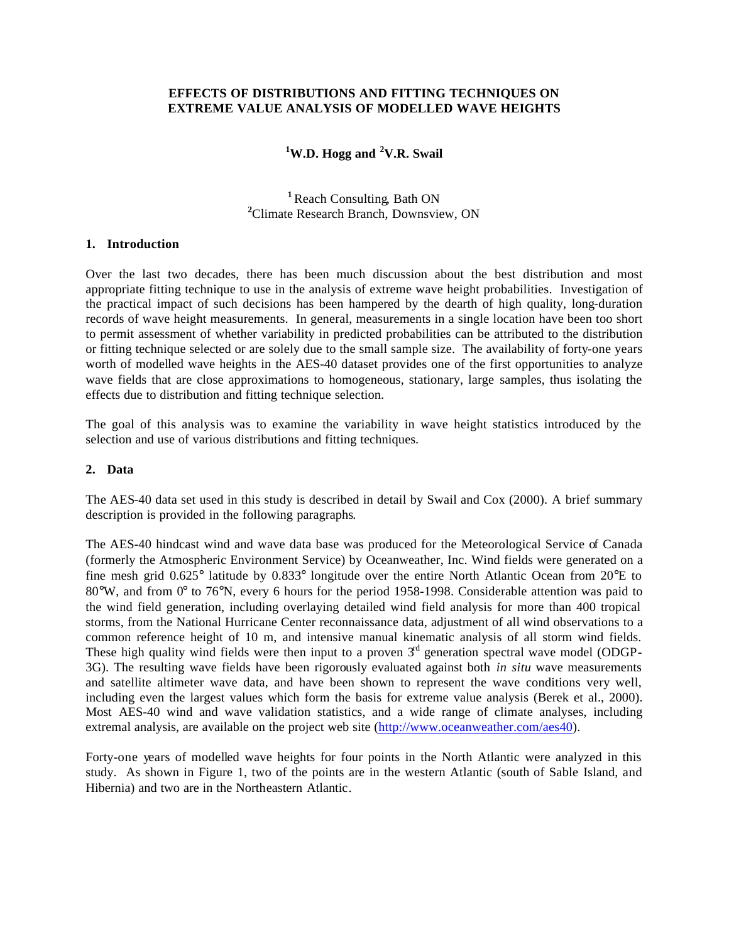### **EFFECTS OF DISTRIBUTIONS AND FITTING TECHNIQUES ON EXTREME VALUE ANALYSIS OF MODELLED WAVE HEIGHTS**

# **<sup>1</sup>W.D. Hogg and <sup>2</sup>V.R. Swail**

## **<sup>1</sup>**Reach Consulting, Bath ON **<sup>2</sup>**Climate Research Branch, Downsview, ON

### **1. Introduction**

Over the last two decades, there has been much discussion about the best distribution and most appropriate fitting technique to use in the analysis of extreme wave height probabilities. Investigation of the practical impact of such decisions has been hampered by the dearth of high quality, long-duration records of wave height measurements. In general, measurements in a single location have been too short to permit assessment of whether variability in predicted probabilities can be attributed to the distribution or fitting technique selected or are solely due to the small sample size. The availability of forty-one years worth of modelled wave heights in the AES-40 dataset provides one of the first opportunities to analyze wave fields that are close approximations to homogeneous, stationary, large samples, thus isolating the effects due to distribution and fitting technique selection.

The goal of this analysis was to examine the variability in wave height statistics introduced by the selection and use of various distributions and fitting techniques.

#### **2. Data**

The AES-40 data set used in this study is described in detail by Swail and Cox (2000). A brief summary description is provided in the following paragraphs.

The AES-40 hindcast wind and wave data base was produced for the Meteorological Service of Canada (formerly the Atmospheric Environment Service) by Oceanweather, Inc. Wind fields were generated on a fine mesh grid 0.625° latitude by 0.833° longitude over the entire North Atlantic Ocean from 20°E to 80°W, and from 0° to 76°N, every 6 hours for the period 1958-1998. Considerable attention was paid to the wind field generation, including overlaying detailed wind field analysis for more than 400 tropical storms, from the National Hurricane Center reconnaissance data, adjustment of all wind observations to a common reference height of 10 m, and intensive manual kinematic analysis of all storm wind fields. These high quality wind fields were then input to a proven  $3<sup>rd</sup>$  generation spectral wave model (ODGP-3G). The resulting wave fields have been rigorously evaluated against both *in situ* wave measurements and satellite altimeter wave data, and have been shown to represent the wave conditions very well, including even the largest values which form the basis for extreme value analysis (Berek et al., 2000). Most AES-40 wind and wave validation statistics, and a wide range of climate analyses, including extremal analysis, are available on the project web site (http://www.oceanweather.com/aes40).

Forty-one years of modelled wave heights for four points in the North Atlantic were analyzed in this study. As shown in Figure 1, two of the points are in the western Atlantic (south of Sable Island, and Hibernia) and two are in the Northeastern Atlantic.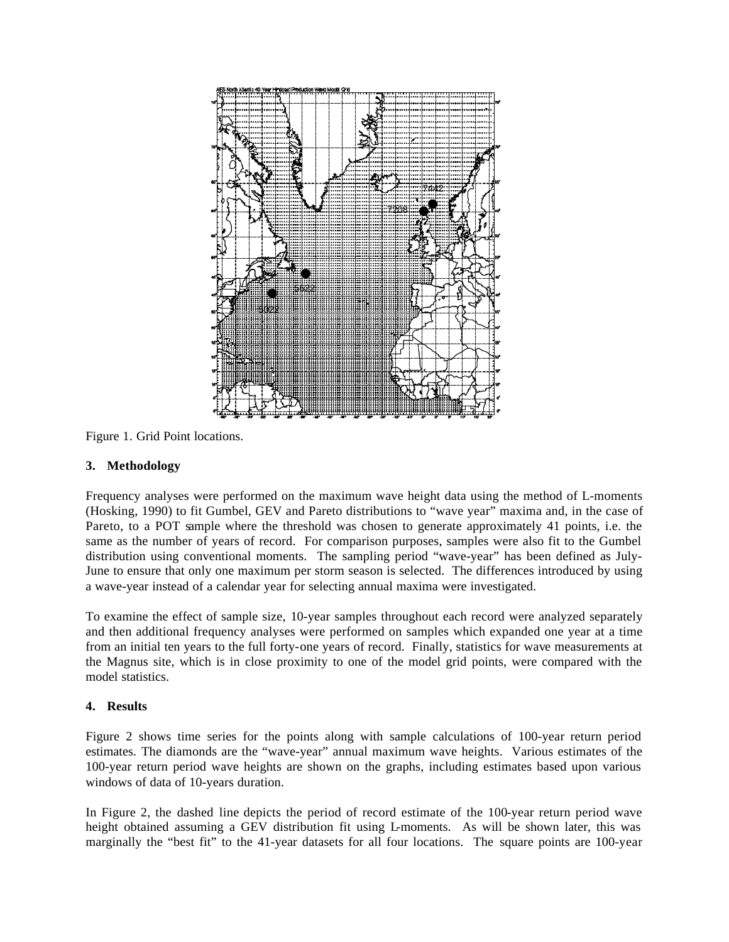

Figure 1. Grid Point locations.

## **3. Methodology**

Frequency analyses were performed on the maximum wave height data using the method of L-moments (Hosking, 1990) to fit Gumbel, GEV and Pareto distributions to "wave year" maxima and, in the case of Pareto, to a POT sample where the threshold was chosen to generate approximately 41 points, i.e. the same as the number of years of record. For comparison purposes, samples were also fit to the Gumbel distribution using conventional moments. The sampling period "wave-year" has been defined as July-June to ensure that only one maximum per storm season is selected. The differences introduced by using a wave-year instead of a calendar year for selecting annual maxima were investigated.

To examine the effect of sample size, 10-year samples throughout each record were analyzed separately and then additional frequency analyses were performed on samples which expanded one year at a time from an initial ten years to the full forty-one years of record. Finally, statistics for wave measurements at the Magnus site, which is in close proximity to one of the model grid points, were compared with the model statistics.

# **4. Results**

Figure 2 shows time series for the points along with sample calculations of 100-year return period estimates. The diamonds are the "wave-year" annual maximum wave heights. Various estimates of the 100-year return period wave heights are shown on the graphs, including estimates based upon various windows of data of 10-years duration.

In Figure 2, the dashed line depicts the period of record estimate of the 100-year return period wave height obtained assuming a GEV distribution fit using L-moments. As will be shown later, this was marginally the "best fit" to the 41-year datasets for all four locations. The square points are 100-year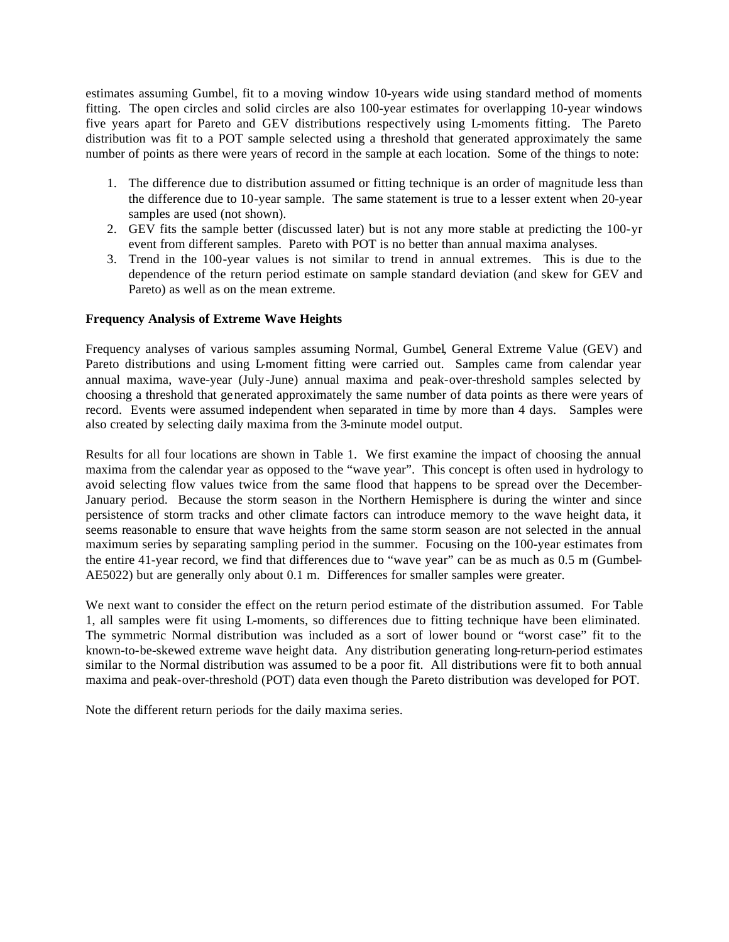estimates assuming Gumbel, fit to a moving window 10-years wide using standard method of moments fitting. The open circles and solid circles are also 100-year estimates for overlapping 10-year windows five years apart for Pareto and GEV distributions respectively using L-moments fitting. The Pareto distribution was fit to a POT sample selected using a threshold that generated approximately the same number of points as there were years of record in the sample at each location. Some of the things to note:

- 1. The difference due to distribution assumed or fitting technique is an order of magnitude less than the difference due to 10-year sample. The same statement is true to a lesser extent when 20-year samples are used (not shown).
- 2. GEV fits the sample better (discussed later) but is not any more stable at predicting the 100-yr event from different samples. Pareto with POT is no better than annual maxima analyses.
- 3. Trend in the 100-year values is not similar to trend in annual extremes. This is due to the dependence of the return period estimate on sample standard deviation (and skew for GEV and Pareto) as well as on the mean extreme.

## **Frequency Analysis of Extreme Wave Heights**

Frequency analyses of various samples assuming Normal, Gumbel, General Extreme Value (GEV) and Pareto distributions and using L-moment fitting were carried out. Samples came from calendar year annual maxima, wave-year (July-June) annual maxima and peak-over-threshold samples selected by choosing a threshold that generated approximately the same number of data points as there were years of record. Events were assumed independent when separated in time by more than 4 days. Samples were also created by selecting daily maxima from the 3-minute model output.

Results for all four locations are shown in Table 1. We first examine the impact of choosing the annual maxima from the calendar year as opposed to the "wave year". This concept is often used in hydrology to avoid selecting flow values twice from the same flood that happens to be spread over the December-January period. Because the storm season in the Northern Hemisphere is during the winter and since persistence of storm tracks and other climate factors can introduce memory to the wave height data, it seems reasonable to ensure that wave heights from the same storm season are not selected in the annual maximum series by separating sampling period in the summer. Focusing on the 100-year estimates from the entire 41-year record, we find that differences due to "wave year" can be as much as 0.5 m (Gumbel-AE5022) but are generally only about 0.1 m. Differences for smaller samples were greater.

We next want to consider the effect on the return period estimate of the distribution assumed. For Table 1, all samples were fit using L-moments, so differences due to fitting technique have been eliminated. The symmetric Normal distribution was included as a sort of lower bound or "worst case" fit to the known-to-be-skewed extreme wave height data. Any distribution generating long-return-period estimates similar to the Normal distribution was assumed to be a poor fit. All distributions were fit to both annual maxima and peak-over-threshold (POT) data even though the Pareto distribution was developed for POT.

Note the different return periods for the daily maxima series.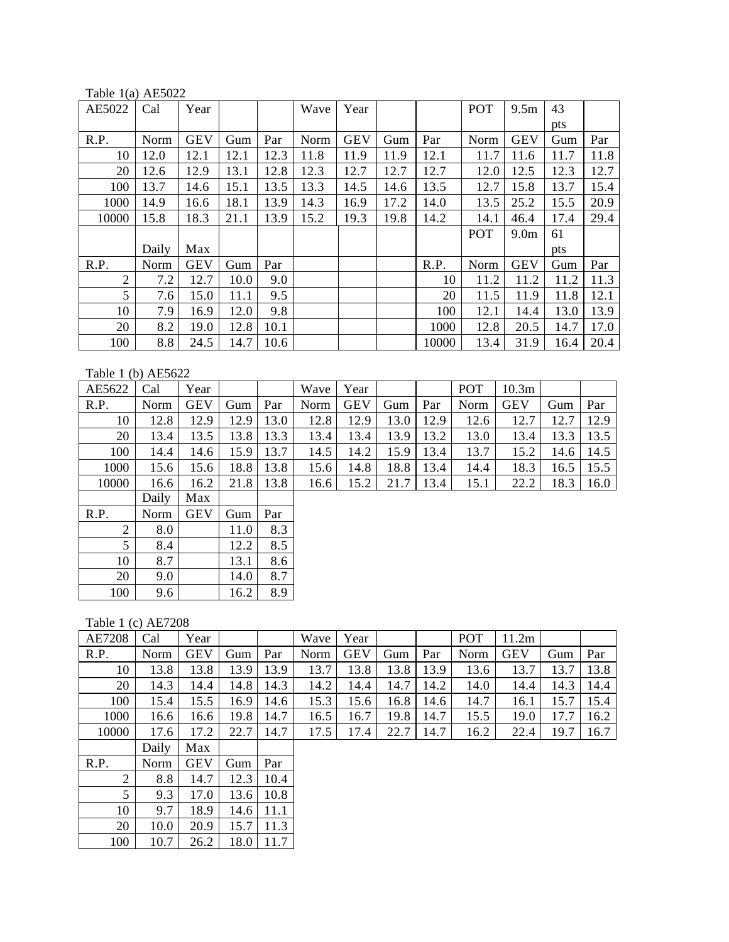Table 1(a) AE5022

| AE5022         | Cal   | Year       |      |      | Wave | Year       |      |       | POT  | 9.5 <sub>m</sub> | 43   |      |
|----------------|-------|------------|------|------|------|------------|------|-------|------|------------------|------|------|
|                |       |            |      |      |      |            |      |       |      |                  | pts  |      |
| R.P.           | Norm  | <b>GEV</b> | Gum  | Par  | Norm | <b>GEV</b> | Gum  | Par   | Norm | <b>GEV</b>       | Gum  | Par  |
| 10             | 12.0  | 12.1       | 12.1 | 12.3 | 11.8 | 11.9       | 11.9 | 12.1  | 11.7 | 11.6             | 11.7 | 11.8 |
| 20             | 12.6  | 12.9       | 13.1 | 12.8 | 12.3 | 12.7       | 12.7 | 12.7  | 12.0 | 12.5             | 12.3 | 12.7 |
| 100            | 13.7  | 14.6       | 15.1 | 13.5 | 13.3 | 14.5       | 14.6 | 13.5  | 12.7 | 15.8             | 13.7 | 15.4 |
| 1000           | 14.9  | 16.6       | 18.1 | 13.9 | 14.3 | 16.9       | 17.2 | 14.0  | 13.5 | 25.2             | 15.5 | 20.9 |
| 10000          | 15.8  | 18.3       | 21.1 | 13.9 | 15.2 | 19.3       | 19.8 | 14.2  | 14.1 | 46.4             | 17.4 | 29.4 |
|                |       |            |      |      |      |            |      |       | POT  | 9.0 <sub>m</sub> | 61   |      |
|                | Daily | Max        |      |      |      |            |      |       |      |                  | pts  |      |
| R.P.           | Norm  | <b>GEV</b> | Gum  | Par  |      |            |      | R.P.  | Norm | <b>GEV</b>       | Gum  | Par  |
| $\overline{c}$ | 7.2   | 12.7       | 10.0 | 9.0  |      |            |      | 10    | 11.2 | 11.2             | 11.2 | 11.3 |
| 5              | 7.6   | 15.0       | 11.1 | 9.5  |      |            |      | 20    | 11.5 | 11.9             | 11.8 | 12.1 |
| 10             | 7.9   | 16.9       | 12.0 | 9.8  |      |            |      | 100   | 12.1 | 14.4             | 13.0 | 13.9 |
| 20             | 8.2   | 19.0       | 12.8 | 10.1 |      |            |      | 1000  | 12.8 | 20.5             | 14.7 | 17.0 |
| 100            | 8.8   | 24.5       | 14.7 | 10.6 |      |            |      | 10000 | 13.4 | 31.9             | 16.4 | 20.4 |

# Table 1 (b) AE5622

| AE5622 | Cal   | Year       |      |      | Wave | Year       |      |      | <b>POT</b> | 10.3 <sub>m</sub> |      |      |
|--------|-------|------------|------|------|------|------------|------|------|------------|-------------------|------|------|
| R.P.   | Norm  | <b>GEV</b> | Gum  | Par  | Norm | <b>GEV</b> | Gum  | Par  | Norm       | <b>GEV</b>        | Gum  | Par  |
| 10     | 12.8  | 12.9       | 12.9 | 13.0 | 12.8 | 12.9       | 13.0 | 12.9 | 12.6       | 12.7              | 12.7 | 12.9 |
| 20     | 13.4  | 13.5       | 13.8 | 13.3 | 13.4 | 13.4       | 13.9 | 13.2 | 13.0       | 13.4              | 13.3 | 13.5 |
| 100    | 14.4  | 14.6       | 15.9 | 13.7 | 14.5 | 14.2       | 15.9 | 13.4 | 13.7       | 15.2              | 14.6 | 14.5 |
| 1000   | 15.6  | 15.6       | 18.8 | 13.8 | 15.6 | 14.8       | 18.8 | 13.4 | 14.4       | 18.3              | 16.5 | 15.5 |
| 10000  | 16.6  | 16.2       | 21.8 | 13.8 | 16.6 | 15.2       | 21.7 | 13.4 | 15.1       | 22.2              | 18.3 | 16.0 |
|        | Daily | Max        |      |      |      |            |      |      |            |                   |      |      |
| R.P.   | Norm  | <b>GEV</b> | Gum  | Par  |      |            |      |      |            |                   |      |      |

|     | 8.0 | 11.0 | 8.3 |
|-----|-----|------|-----|
|     | 8.4 | 12.2 | 8.5 |
| 10  | 8.7 | 13.1 | 8.6 |
| 20  | 9.0 | 14.0 | 8.7 |
| 100 | 9.6 | 16.2 | 8.9 |

10 9.7 18.9 14.6 11.1<br>20 10.0 20.9 15.7 11.3

 $18.0$  11.7

20 10.0 20.9 15.7<br>100 10.7 26.2 18.0

# Table 1 (c) AE7208

| <b>AE7208</b> | Cal   | Year       |      |      | Wave | Year       |      |      | <b>POT</b> | 11.2m      |      |      |
|---------------|-------|------------|------|------|------|------------|------|------|------------|------------|------|------|
| R.P.          | Norm  | <b>GEV</b> | Gum  | Par  | Norm | <b>GEV</b> | Gum  | Par  | Norm       | <b>GEV</b> | Gum  | Par  |
| 10            | 13.8  | 13.8       | 13.9 | 13.9 | 13.7 | 13.8       | 13.8 | 13.9 | 13.6       | 13.7       | 13.7 | 13.8 |
| 20            | 14.3  | 14.4       | 14.8 | 14.3 | 14.2 | 14.4       | 14.7 | 14.2 | 14.0       | 14.4       | 14.3 | 14.4 |
| 100           | 15.4  | 15.5       | 16.9 | 14.6 | 15.3 | 15.6       | 16.8 | 14.6 | 14.7       | 16.1       | 15.7 | 15.4 |
| 1000          | 16.6  | 16.6       | 19.8 | 14.7 | 16.5 | 16.7       | 19.8 | 14.7 | 15.5       | 19.0       | 17.7 | 16.2 |
| 10000         | 17.6  | 17.2       | 22.7 | 14.7 | 17.5 | 17.4       | 22.7 | 14.7 | 16.2       | 22.4       | 19.7 | 16.7 |
|               | Daily | Max        |      |      |      |            |      |      |            |            |      |      |
| R.P.          | Norm  | <b>GEV</b> | Gum  | Par  |      |            |      |      |            |            |      |      |
| 2             | 8.8   | 14.7       | 12.3 | 10.4 |      |            |      |      |            |            |      |      |
| 5             | 9.3   | 17.0       | 13.6 | 10.8 |      |            |      |      |            |            |      |      |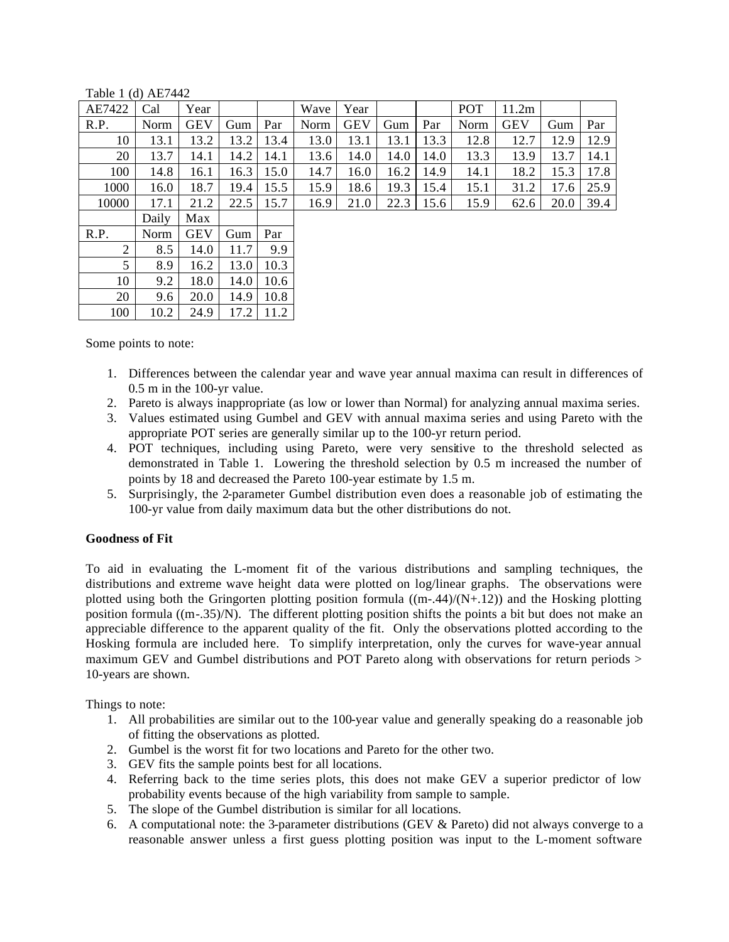| AE7422 | Cal   | Year       |      |      | Wave | Year       |      |      | <b>POT</b> | 11.2m      |      |      |
|--------|-------|------------|------|------|------|------------|------|------|------------|------------|------|------|
| R.P.   | Norm  | <b>GEV</b> | Gum  | Par  | Norm | <b>GEV</b> | Gum  | Par  | Norm       | <b>GEV</b> | Gum  | Par  |
| 10     | 13.1  | 13.2       | 13.2 | 13.4 | 13.0 | 13.1       | 13.1 | 13.3 | 12.8       | 12.7       | 12.9 | 12.9 |
| 20     | 13.7  | 14.1       | 14.2 | 14.1 | 13.6 | 14.0       | 14.0 | 14.0 | 13.3       | 13.9       | 13.7 | 14.1 |
| 100    | 14.8  | 16.1       | 16.3 | 15.0 | 14.7 | 16.0       | 16.2 | 14.9 | 14.1       | 18.2       | 15.3 | 17.8 |
| 1000   | 16.0  | 18.7       | 19.4 | 15.5 | 15.9 | 18.6       | 19.3 | 15.4 | 15.1       | 31.2       | 17.6 | 25.9 |
| 10000  | 17.1  | 21.2       | 22.5 | 15.7 | 16.9 | 21.0       | 22.3 | 15.6 | 15.9       | 62.6       | 20.0 | 39.4 |
|        | Daily | Max        |      |      |      |            |      |      |            |            |      |      |
| R.P.   | Norm  | <b>GEV</b> | Gum  | Par  |      |            |      |      |            |            |      |      |
| 2      | 8.5   | 14.0       | 11.7 | 9.9  |      |            |      |      |            |            |      |      |
| 5      | 8.9   | 16.2       | 13.0 | 10.3 |      |            |      |      |            |            |      |      |
| 10     | 9.2   | 18.0       | 14.0 | 10.6 |      |            |      |      |            |            |      |      |
| 20     | 9.6   | 20.0       | 14.9 | 10.8 |      |            |      |      |            |            |      |      |
| 100    | 10.2  | 24.9       | 17.2 | 11.2 |      |            |      |      |            |            |      |      |

Table 1 (d) AE7442

Some points to note:

- 1. Differences between the calendar year and wave year annual maxima can result in differences of 0.5 m in the 100-yr value.
- 2. Pareto is always inappropriate (as low or lower than Normal) for analyzing annual maxima series.
- 3. Values estimated using Gumbel and GEV with annual maxima series and using Pareto with the appropriate POT series are generally similar up to the 100-yr return period.
- 4. POT techniques, including using Pareto, were very sensitive to the threshold selected as demonstrated in Table 1. Lowering the threshold selection by 0.5 m increased the number of points by 18 and decreased the Pareto 100-year estimate by 1.5 m.
- 5. Surprisingly, the 2-parameter Gumbel distribution even does a reasonable job of estimating the 100-yr value from daily maximum data but the other distributions do not.

## **Goodness of Fit**

To aid in evaluating the L-moment fit of the various distributions and sampling techniques, the distributions and extreme wave height data were plotted on log/linear graphs. The observations were plotted using both the Gringorten plotting position formula  $((m-44)/(N+12))$  and the Hosking plotting position formula ((m-.35)/N). The different plotting position shifts the points a bit but does not make an appreciable difference to the apparent quality of the fit. Only the observations plotted according to the Hosking formula are included here. To simplify interpretation, only the curves for wave-year annual maximum GEV and Gumbel distributions and POT Pareto along with observations for return periods > 10-years are shown.

Things to note:

- 1. All probabilities are similar out to the 100-year value and generally speaking do a reasonable job of fitting the observations as plotted.
- 2. Gumbel is the worst fit for two locations and Pareto for the other two.
- 3. GEV fits the sample points best for all locations.
- 4. Referring back to the time series plots, this does not make GEV a superior predictor of low probability events because of the high variability from sample to sample.
- 5. The slope of the Gumbel distribution is similar for all locations.
- 6. A computational note: the 3-parameter distributions (GEV & Pareto) did not always converge to a reasonable answer unless a first guess plotting position was input to the L-moment software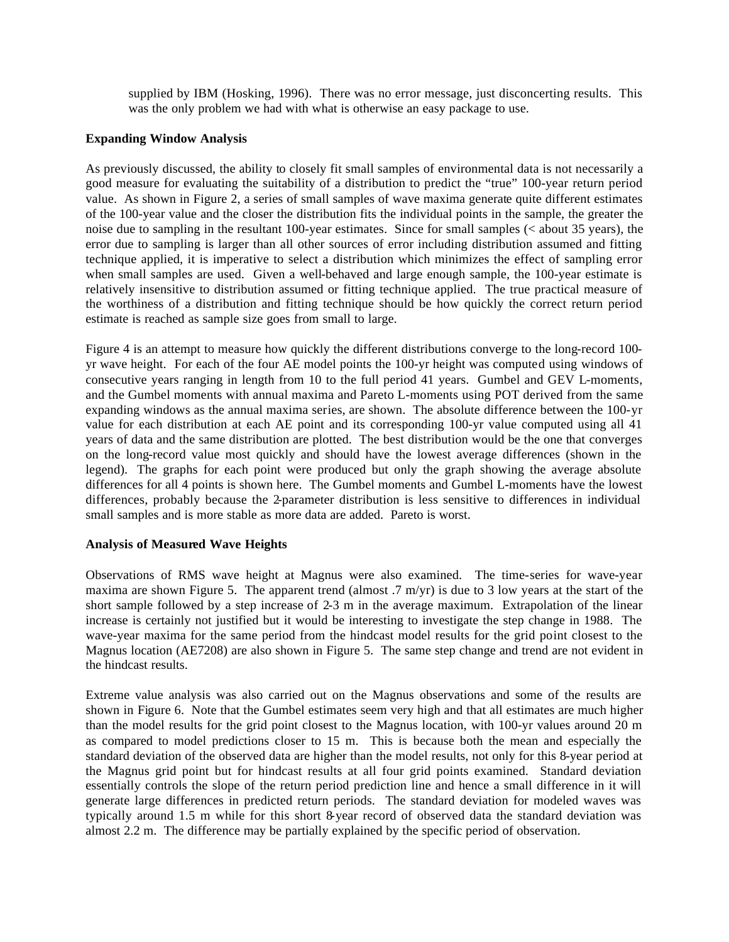supplied by IBM (Hosking, 1996). There was no error message, just disconcerting results. This was the only problem we had with what is otherwise an easy package to use.

#### **Expanding Window Analysis**

As previously discussed, the ability to closely fit small samples of environmental data is not necessarily a good measure for evaluating the suitability of a distribution to predict the "true" 100-year return period value. As shown in Figure 2, a series of small samples of wave maxima generate quite different estimates of the 100-year value and the closer the distribution fits the individual points in the sample, the greater the noise due to sampling in the resultant 100-year estimates. Since for small samples (< about 35 years), the error due to sampling is larger than all other sources of error including distribution assumed and fitting technique applied, it is imperative to select a distribution which minimizes the effect of sampling error when small samples are used. Given a well-behaved and large enough sample, the 100-year estimate is relatively insensitive to distribution assumed or fitting technique applied. The true practical measure of the worthiness of a distribution and fitting technique should be how quickly the correct return period estimate is reached as sample size goes from small to large.

Figure 4 is an attempt to measure how quickly the different distributions converge to the long-record 100 yr wave height. For each of the four AE model points the 100-yr height was computed using windows of consecutive years ranging in length from 10 to the full period 41 years. Gumbel and GEV L-moments, and the Gumbel moments with annual maxima and Pareto L-moments using POT derived from the same expanding windows as the annual maxima series, are shown. The absolute difference between the 100-yr value for each distribution at each AE point and its corresponding 100-yr value computed using all 41 years of data and the same distribution are plotted. The best distribution would be the one that converges on the long-record value most quickly and should have the lowest average differences (shown in the legend). The graphs for each point were produced but only the graph showing the average absolute differences for all 4 points is shown here. The Gumbel moments and Gumbel L-moments have the lowest differences, probably because the 2-parameter distribution is less sensitive to differences in individual small samples and is more stable as more data are added. Pareto is worst.

#### **Analysis of Measured Wave Heights**

Observations of RMS wave height at Magnus were also examined. The time-series for wave-year maxima are shown Figure 5. The apparent trend (almost .7 m/yr) is due to 3 low years at the start of the short sample followed by a step increase of 2-3 m in the average maximum. Extrapolation of the linear increase is certainly not justified but it would be interesting to investigate the step change in 1988. The wave-year maxima for the same period from the hindcast model results for the grid point closest to the Magnus location (AE7208) are also shown in Figure 5. The same step change and trend are not evident in the hindcast results.

Extreme value analysis was also carried out on the Magnus observations and some of the results are shown in Figure 6. Note that the Gumbel estimates seem very high and that all estimates are much higher than the model results for the grid point closest to the Magnus location, with 100-yr values around 20 m as compared to model predictions closer to 15 m. This is because both the mean and especially the standard deviation of the observed data are higher than the model results, not only for this 8-year period at the Magnus grid point but for hindcast results at all four grid points examined. Standard deviation essentially controls the slope of the return period prediction line and hence a small difference in it will generate large differences in predicted return periods. The standard deviation for modeled waves was typically around 1.5 m while for this short 8-year record of observed data the standard deviation was almost 2.2 m. The difference may be partially explained by the specific period of observation.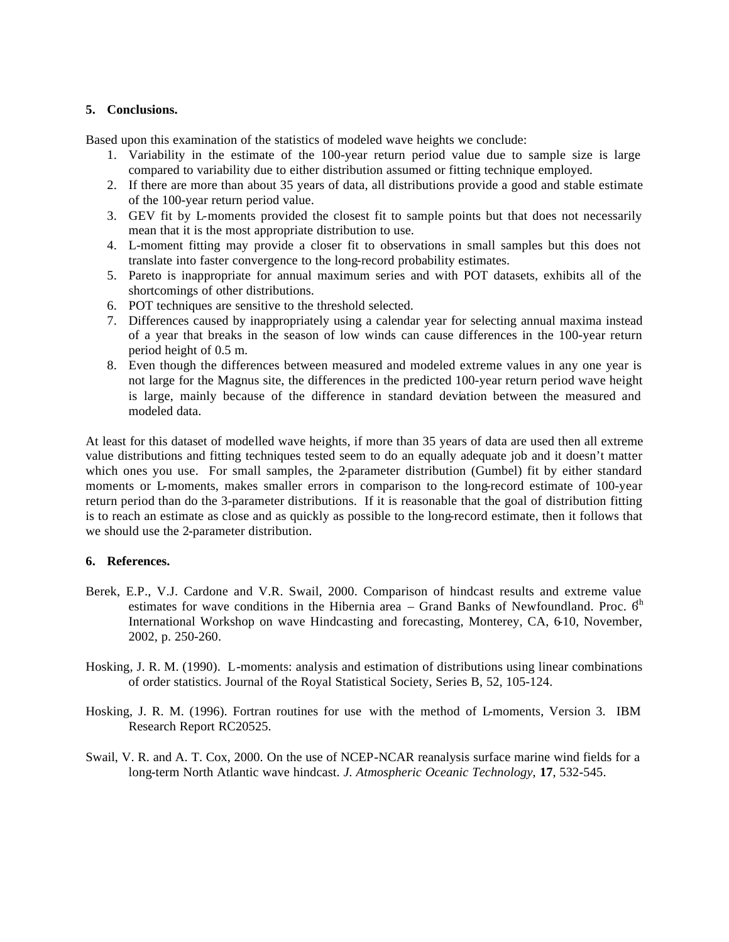### **5. Conclusions.**

Based upon this examination of the statistics of modeled wave heights we conclude:

- 1. Variability in the estimate of the 100-year return period value due to sample size is large compared to variability due to either distribution assumed or fitting technique employed.
- 2. If there are more than about 35 years of data, all distributions provide a good and stable estimate of the 100-year return period value.
- 3. GEV fit by L-moments provided the closest fit to sample points but that does not necessarily mean that it is the most appropriate distribution to use.
- 4. L-moment fitting may provide a closer fit to observations in small samples but this does not translate into faster convergence to the long-record probability estimates.
- 5. Pareto is inappropriate for annual maximum series and with POT datasets, exhibits all of the shortcomings of other distributions.
- 6. POT techniques are sensitive to the threshold selected.
- 7. Differences caused by inappropriately using a calendar year for selecting annual maxima instead of a year that breaks in the season of low winds can cause differences in the 100-year return period height of 0.5 m.
- 8. Even though the differences between measured and modeled extreme values in any one year is not large for the Magnus site, the differences in the predicted 100-year return period wave height is large, mainly because of the difference in standard deviation between the measured and modeled data.

At least for this dataset of modelled wave heights, if more than 35 years of data are used then all extreme value distributions and fitting techniques tested seem to do an equally adequate job and it doesn't matter which ones you use. For small samples, the 2-parameter distribution (Gumbel) fit by either standard moments or L-moments, makes smaller errors in comparison to the long-record estimate of 100-year return period than do the 3-parameter distributions. If it is reasonable that the goal of distribution fitting is to reach an estimate as close and as quickly as possible to the long-record estimate, then it follows that we should use the 2-parameter distribution.

#### **6. References.**

- Berek, E.P., V.J. Cardone and V.R. Swail, 2000. Comparison of hindcast results and extreme value estimates for wave conditions in the Hibernia area  $-$  Grand Banks of Newfoundland. Proc.  $6<sup>h</sup>$ International Workshop on wave Hindcasting and forecasting, Monterey, CA, 6-10, November, 2002, p. 250-260.
- Hosking, J. R. M. (1990). L-moments: analysis and estimation of distributions using linear combinations of order statistics. Journal of the Royal Statistical Society, Series B, 52, 105-124.
- Hosking, J. R. M. (1996). Fortran routines for use with the method of L-moments, Version 3. IBM Research Report RC20525.
- Swail, V. R. and A. T. Cox, 2000. On the use of NCEP-NCAR reanalysis surface marine wind fields for a long-term North Atlantic wave hindcast. *J. Atmospheric Oceanic Technology*, **17**, 532-545.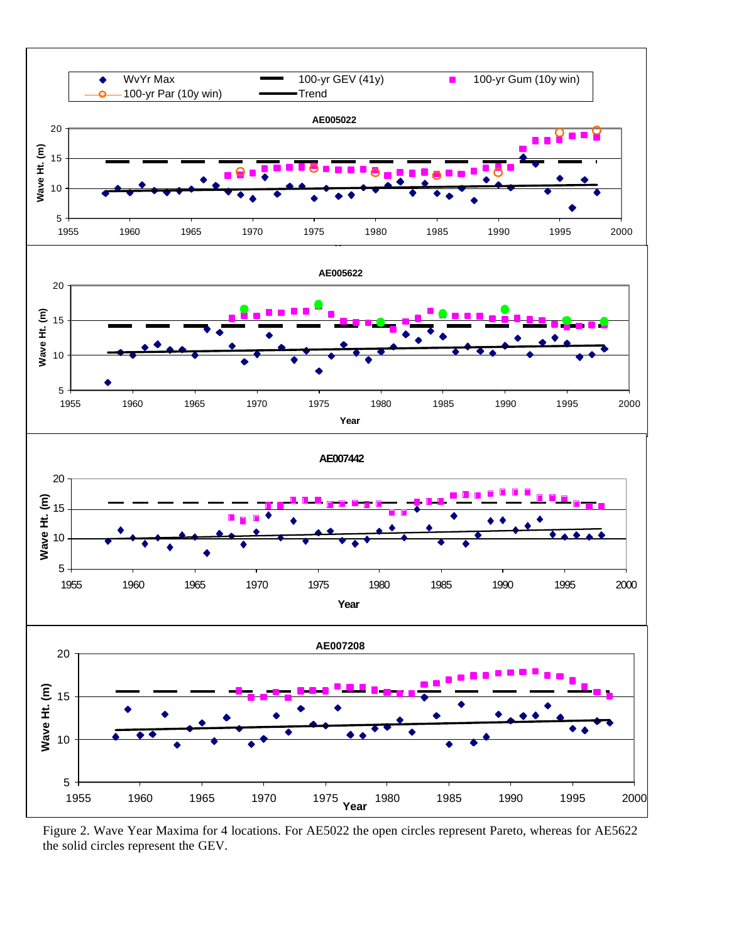

Figure 2. Wave Year Maxima for 4 locations. For AE5022 the open circles represent Pareto, whereas for AE5622 the solid circles represent the GEV.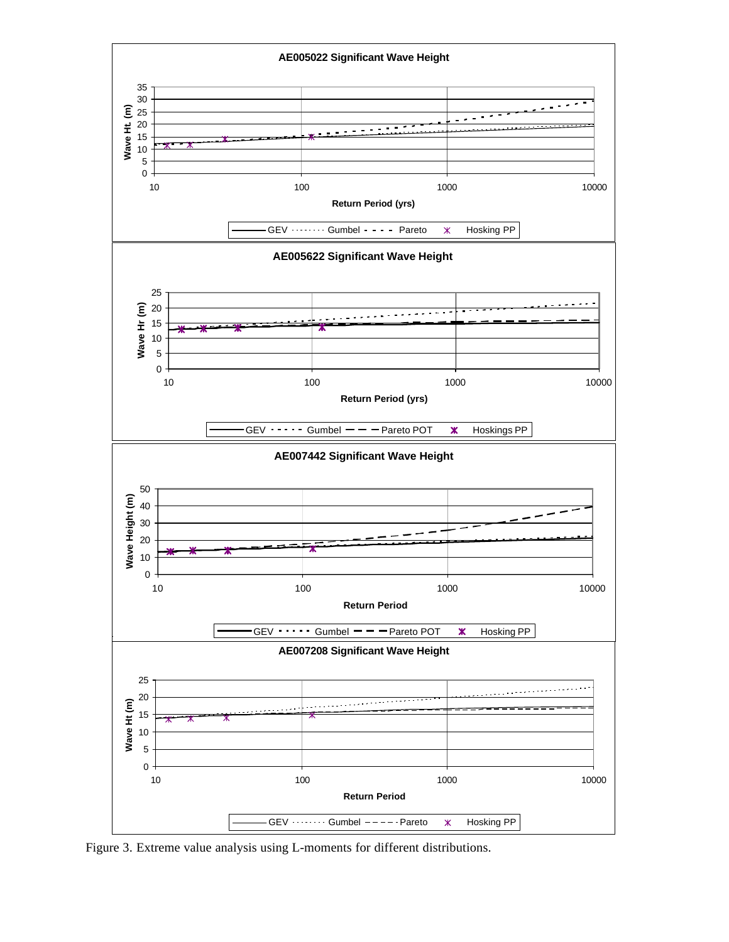

Figure 3. Extreme value analysis using L-moments for different distributions.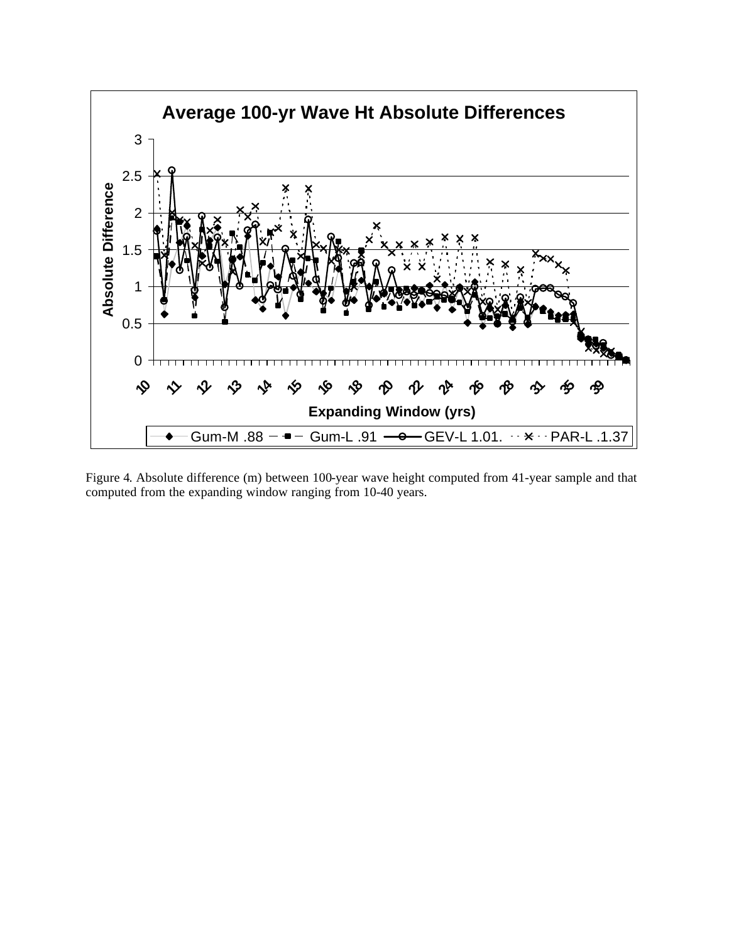

Figure 4. Absolute difference (m) between 100-year wave height computed from 41-year sample and that computed from the expanding window ranging from 10-40 years.